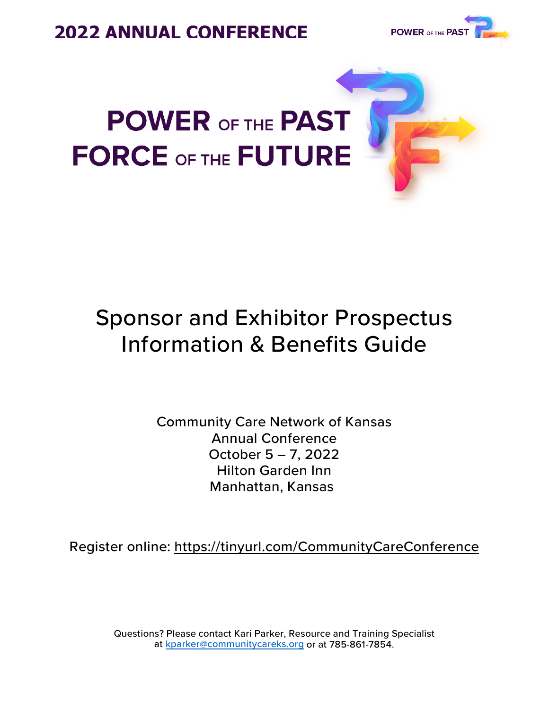



# **POWER OF THE PAST FORCE OF THE FUTURE**

## Sponsor and Exhibitor Prospectus Information & Benefits Guide

Community Care Network of Kansas Annual Conference October 5 – 7, 2022 Hilton Garden Inn Manhattan, Kansas

Register online:<https://tinyurl.com/CommunityCareConference>

Questions? Please contact Kari Parker, Resource and Training Specialist at [kparker@communitycareks.org](mailto:kparker@communitycareks.org) or at 785-861-7854.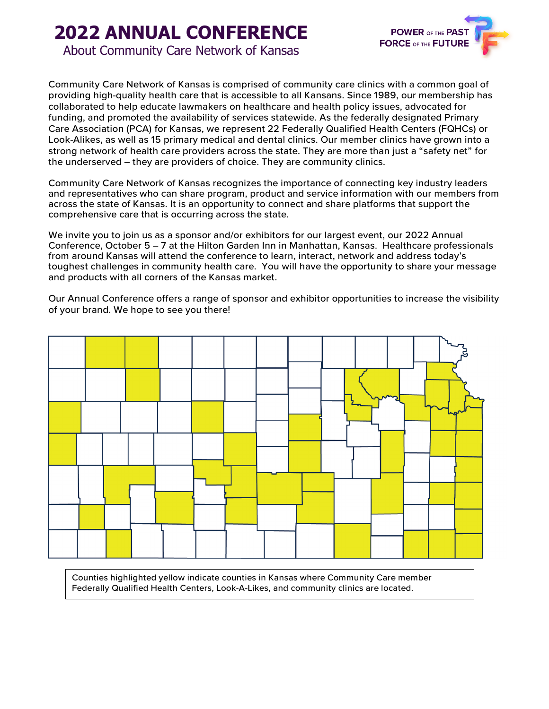## **2022 ANNUAL CONFERENCE**



About Community Care Network of Kansas

Community Care Network of Kansas is comprised of community care clinics with a common goal of providing high-quality health care that is accessible to all Kansans. Since 1989, our membership has collaborated to help educate lawmakers on healthcare and health policy issues, advocated for funding, and promoted the availability of services statewide. As the federally designated Primary Care Association (PCA) for Kansas, we represent 22 Federally Qualified Health Centers (FQHCs) or Look-Alikes, as well as 15 primary medical and dental clinics. Our member clinics have grown into a strong network of health care providers across the state. They are more than just a "safety net" for the underserved – they are providers of choice. They are community clinics.

Community Care Network of Kansas recognizes the importance of connecting key industry leaders and representatives who can share program, product and service information with our members from across the state of Kansas. It is an opportunity to connect and share platforms that support the comprehensive care that is occurring across the state.

We invite you to join us as a sponsor and/or exhibitors for our largest event, our 2022 Annual Conference, October 5 – 7 at the Hilton Garden Inn in Manhattan, Kansas. Healthcare professionals from around Kansas will attend the conference to learn, interact, network and address today's toughest challenges in community health care. You will have the opportunity to share your message and products with all corners of the Kansas market.

Our Annual Conference offers a range of sponsor and exhibitor opportunities to increase the visibility of your brand. We hope to see you there!



Counties highlighted yellow indicate counties in Kansas where Community Care member Federally Qualified Health Centers, Look-A-Likes, and community clinics are located.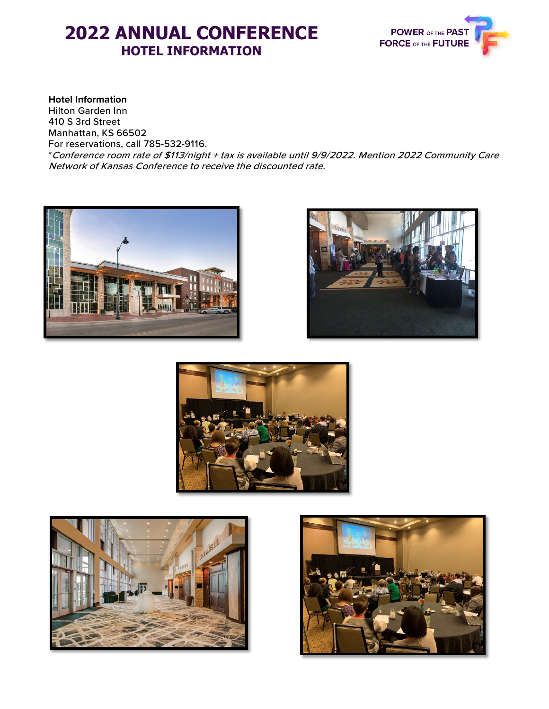### **2022 ANNUAL CONFERENCE HOTEL INFORMATION**



#### **Hotel Information**

Hilton Garden Inn 410 S 3rd Street Manhattan, KS 66502 For reservations, call 785-532-9116. \*Conference room rate of \$113/night + tax is available until 9/9/2022. Mention 2022 Community Care Network of Kansas Conference to receive the discounted rate.









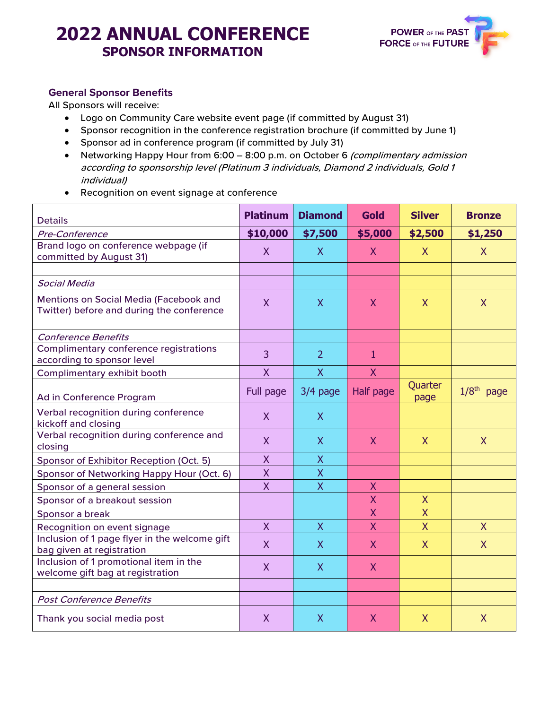## **2022 ANNUAL CONFERENCE SPONSOR INFORMATION**



#### **General Sponsor Benefits**

All Sponsors will receive:

- Logo on Community Care website event page (if committed by August 31)
- Sponsor recognition in the conference registration brochure (if committed by June 1)
- Sponsor ad in conference program (if committed by July 31)
- Networking Happy Hour from 6:00 8:00 p.m. on October 6 (complimentary admission according to sponsorship level (Platinum 3 individuals, Diamond 2 individuals, Gold 1 individual)
- Recognition on event signage at conference

| <b>Details</b>                                                                      | <b>Platinum</b> | <b>Diamond</b> | <b>Gold</b>             | <b>Silver</b>           | <b>Bronze</b> |
|-------------------------------------------------------------------------------------|-----------------|----------------|-------------------------|-------------------------|---------------|
| Pre-Conference                                                                      | \$10,000        | \$7,500        | \$5,000                 | \$2,500                 | \$1,250       |
| Brand logo on conference webpage (if<br>committed by August 31)                     | $\mathsf{X}$    | $\mathsf{X}$   | $\mathsf{X}$            | $\mathsf{X}$            | $\mathsf{X}$  |
|                                                                                     |                 |                |                         |                         |               |
| <b>Social Media</b>                                                                 |                 |                |                         |                         |               |
| Mentions on Social Media (Facebook and<br>Twitter) before and during the conference | $\mathsf{X}$    | $\mathsf{X}$   | $\mathsf{X}$            | $\mathsf{X}$            | $\mathsf{X}$  |
|                                                                                     |                 |                |                         |                         |               |
| <b>Conference Benefits</b>                                                          |                 |                |                         |                         |               |
| Complimentary conference registrations<br>according to sponsor level                | 3               | $\overline{2}$ | 1                       |                         |               |
| Complimentary exhibit booth                                                         | X               | $\mathsf{X}$   | $\mathsf{X}$            |                         |               |
| Ad in Conference Program                                                            | Full page       | $3/4$ page     | <b>Half page</b>        | Quarter<br>page         | $1/8th$ page  |
| Verbal recognition during conference<br>kickoff and closing                         | $\mathsf{X}$    | $\mathsf{X}$   |                         |                         |               |
| Verbal recognition during conference and<br>closing                                 | $\mathsf{X}$    | $\mathsf{X}$   | $\mathsf{X}$            | $\mathsf{X}$            | $\mathsf{X}$  |
| Sponsor of Exhibitor Reception (Oct. 5)                                             | $\overline{X}$  | $\mathsf{X}$   |                         |                         |               |
| Sponsor of Networking Happy Hour (Oct. 6)                                           | $\sf X$         | $\overline{X}$ |                         |                         |               |
| Sponsor of a general session                                                        | $\overline{X}$  | $\overline{X}$ | X                       |                         |               |
| Sponsor of a breakout session                                                       |                 |                | $\mathsf{X}$            | $\sf X$                 |               |
| Sponsor a break                                                                     |                 |                | X                       | $\overline{\mathsf{X}}$ |               |
| Recognition on event signage                                                        | $\mathsf{X}$    | $\mathsf{X}$   | $\overline{\mathsf{X}}$ | $\overline{X}$          | $\mathsf{X}$  |
| Inclusion of 1 page flyer in the welcome gift<br>bag given at registration          | $\mathsf{X}$    | $\mathsf{X}$   | $\mathsf{X}$            | $\mathsf{X}$            | $\mathsf{X}$  |
| Inclusion of 1 promotional item in the<br>welcome gift bag at registration          | $\mathsf{X}$    | $\mathsf{X}$   | $\mathsf{X}$            |                         |               |
|                                                                                     |                 |                |                         |                         |               |
| <b>Post Conference Benefits</b>                                                     |                 |                |                         |                         |               |
| Thank you social media post                                                         | $\mathsf{X}$    | $\mathsf{X}$   | $\mathsf{X}$            | $\mathsf{X}$            | $\mathsf{X}$  |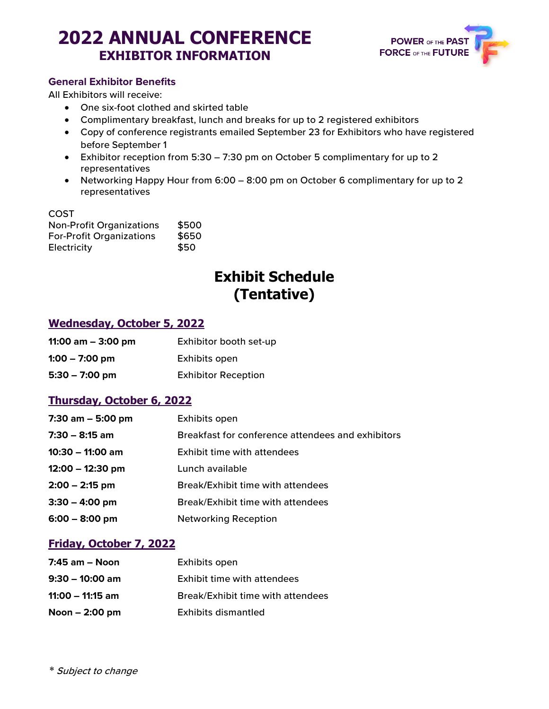## **2022 ANNUAL CONFERENCE EXHIBITOR INFORMATION**



#### **General Exhibitor Benefits**

All Exhibitors will receive:

- One six-foot clothed and skirted table
- Complimentary breakfast, lunch and breaks for up to 2 registered exhibitors
- Copy of conference registrants emailed September 23 for Exhibitors who have registered before September 1
- Exhibitor reception from 5:30 7:30 pm on October 5 complimentary for up to 2 representatives
- Networking Happy Hour from 6:00 8:00 pm on October 6 complimentary for up to 2 representatives

#### COST

| <b>Non-Profit Organizations</b> | \$500 |
|---------------------------------|-------|
| <b>For-Profit Organizations</b> | \$650 |
| Electricity                     | \$50  |

### **Exhibit Schedule (Tentative)**

#### **Wednesday, October 5, 2022**

| 11:00 am $-$ 3:00 pm | Exhibitor booth set-up     |
|----------------------|----------------------------|
| $1:00 - 7:00$ pm     | Exhibits open              |
| $5:30 - 7:00$ pm     | <b>Exhibitor Reception</b> |

#### **Thursday, October 6, 2022**

| 7:30 am $-$ 5:00 pm | Exhibits open                                     |
|---------------------|---------------------------------------------------|
| $7:30 - 8:15$ am    | Breakfast for conference attendees and exhibitors |
| $10:30 - 11:00$ am  | <b>Exhibit time with attendees</b>                |
| $12:00 - 12:30$ pm  | Lunch available                                   |
| $2:00 - 2:15$ pm    | Break/Exhibit time with attendees                 |
| $3:30 - 4:00$ pm    | Break/Exhibit time with attendees                 |
| $6:00 - 8:00$ pm    | <b>Networking Reception</b>                       |

#### **Friday, October 7, 2022**

| $7:45$ am $-$ Noon | Exhibits open                     |
|--------------------|-----------------------------------|
| $9:30 - 10:00$ am  | Exhibit time with attendees       |
| $11:00 - 11:15$ am | Break/Exhibit time with attendees |
| Noon $-2:00$ pm    | Exhibits dismantled               |